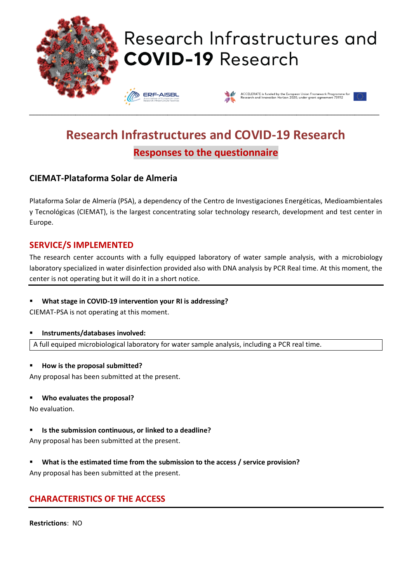

# **Research Infrastructures and COVID-19 Research Responses to the questionnaire**

## **CIEMAT-Plataforma Solar de Almeria**

Plataforma Solar de Almería (PSA), a dependency of the Centro de Investigaciones Energéticas, Medioambientales y Tecnológicas (CIEMAT), is the largest concentrating solar technology research, development and test center in Europe.

### **SERVICE/S IMPLEMENTED**

The research center accounts with a fully equipped laboratory of water sample analysis, with a microbiology laboratory specialized in water disinfection provided also with DNA analysis by PCR Real time. At this moment, the center is not operating but it will do it in a short notice.

#### ▪ **What stage in COVID-19 intervention your RI is addressing?**

CIEMAT-PSA is not operating at this moment.

#### ▪ **Instruments/databases involved:**

A full equiped microbiological laboratory for water sample analysis, including a PCR real time.

#### ▪ **How is the proposal submitted?**

Any proposal has been submitted at the present.

#### ▪ **Who evaluates the proposal?**

No evaluation.

#### ▪ **Is the submission continuous, or linked to a deadline?**

Any proposal has been submitted at the present.

▪ **What is the estimated time from the submission to the access / service provision?**

Any proposal has been submitted at the present.

## **CHARACTERISTICS OF THE ACCESS**

**Restrictions**: NO